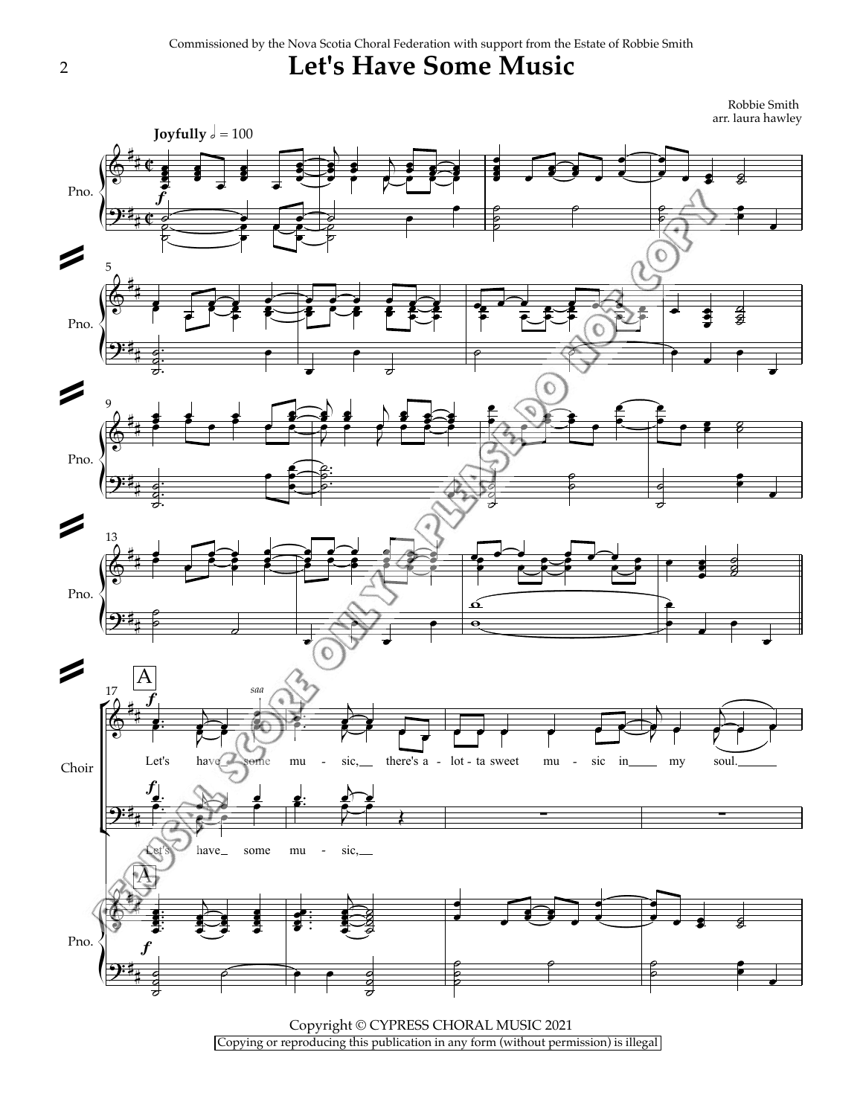## **Let's Have Some Music**

Robbie Smith arr. laura hawley œ œ œ œ j  $\overline{\mathcal{L}}$  $\frac{1}{2}$ e  $\epsilon$   $\widehat{\epsilon}$   $\widehat{\epsilon}$ œ e<br>S  $\frac{1}{2}$  $\boldsymbol{\Theta}$  $\sum$  $\bigoplus$  $\cdot$   $\cdot$ **•** ˙  $\begin{array}{c|c|c|c|c|c} \hline \circ & \circ & \circ \\ \hline \circ & \bullet & \circ \\ \hline \circ & \bullet & \circ \end{array}$  $\frac{1}{2}$ ˙ ˙ ˙  $\leftrightarrow$ :  $\dddot{\bullet}$ œœ <sup>œ</sup> <sup>œ</sup> <sup>œ</sup> œœ <sup>œ</sup> œœ <sup>œ</sup> <sup>œ</sup> <sup>œ</sup> œœ <sup>œ</sup> **e**  $\frac{2}{\epsilon}$ œ  $\overline{\cdot}$ ल<br>ट्रांटर  $\mathbf{c}$ œ  $\frac{1}{2}$ œ  $\frac{2}{3}$ d<br>g  $\sum_{i=1}^{n}$   $\frac{1}{2}$   $\frac{a}{3}$ œ ™ <sup>œ</sup> <sup>œ</sup> <sup>œ</sup> ˙ ˙ ˙ <sup>œ</sup> <sup>œ</sup> <sup>œ</sup> <sup>œ</sup>  $\frac{1}{2}$   $\frac{1}{2}$   $\frac{1}{2}$  $\overline{y}$  $\frac{1}{\sqrt{2}}$  $\overline{\mathbf{e}}$  $\hat{~}$  $\cdot$  e  $\cdot$  $\cdot$  $\begin{picture}(180,170)(-10,170)(-10,170)(-10,170)(-10,170)(-10,170)(-10,170)(-10,170)(-10,170)(-10,170)(-10,170)(-10,170)(-10,170)(-10,170)(-10,170)(-10,170)(-10,170)(-10,170)(-10,170)(-10,170)(-10,170)(-10,170)(-10,170)(-10,170)(-10,170)(-10,170)(-10,170$ œ œ œœ ˙˙  $\bigoplus_{\sigma}$  $\frac{1}{2}$  $\frac{1}{2}$  $\begin{array}{c|c} 0 & 0 \\ 0 & 0 \end{array}$  $\circ$  $\dddot{\bullet}$ <sup>œ</sup> <sup>œ</sup> <sup>œ</sup> <sup>œ</sup> <sup>œ</sup> œœ <sup>œ</sup>  $\overline{\mathscr{L}}$ œ œ  $\overrightarrow{e}$ œ  $\sqrt{2}$ ے<br>جسم  $\Rightarrow$ œ  $\begin{array}{|c|c|c|c|c|}\n\hline\n\textbf{e} & \textbf{e} & \textbf{e} & \textbf{e} & \textbf{e} & \textbf{e} & \textbf{e} & \textbf{e} & \textbf{e} & \textbf{e} & \textbf{e} & \textbf{e} & \textbf{e} & \textbf{e} & \textbf{e} & \textbf{e} & \textbf{e} & \textbf{e} & \textbf{e} & \textbf{e} & \textbf{e} & \textbf{e} & \textbf{e} & \textbf{e} & \textbf{e} & \textbf{e} & \textbf{e} & \textbf{e} & \text$ œ  $\frac{e}{e}$ a<br>8 **ं e** e e e<br>ref e e e e œ  $rac{a}{\frac{a}{\sqrt{a}}}$  $\bullet$ 



Copyright © CYPRESS CHORAL MUSIC 2021 Copying or reproducing this publication in any form (without permission) is illegal

}<br>}<br>}

 $\frac{2}{9}$ #

 $9:1$ #

 $\delta^*$ #

 $9:1$ #

 $\frac{2}{9}$ #

 $9:4$ #

 $\&$ #  $\overline{\mathfrak{e}}$ 

ë<br>C œ œ  $\frac{1}{2}$ œ  $\sum_{i}$ œ  $\frac{1}{2}$ 

 $\frac{1}{2}$ ⊺ቅ<br>ሮ

 $\overline{\mathbf{c}}$ 

g<br>J  $\frac{1}{2}$  $\frac{1}{2}$ ™ ™

œ œ

g<br>J  $\frac{1}{2}$ ˙ ™ ™

e ce

5

**Joyfully**  $\sqrt{s} = 100$ 

 $\sum_{\mathcal{P}}$ 

 $\overrightarrow{e}$ 

 $\frac{1}{2}$   $\frac{1}{2}$   $\frac{1}{2}$   $\frac{1}{2}$   $\frac{1}{2}$ 

 $\frac{1}{\sqrt{2}}$ 

 $\frac{2}{\epsilon}$ œ  $\sum$ 

œ

 $\frac{1}{2}$ 

œ  $\bigoplus$ œ œ  $\overline{A}$ 

<sup>œ</sup> <sup>œ</sup> <sup>œ</sup> ˙ <sup>œ</sup>  $\begin{bmatrix} 1 \\ -1 \end{bmatrix}$ 

> œ  $\bigoplus$ œ  $\frac{1}{2}$  $\frac{1}{\epsilon}$

œ  $\left(\begin{array}{c} \bullet \\ \bullet \\ \bullet \end{array}\right)$ غ<br>ِّا¢ا ˙™ ™  $\ddot{\phantom{}}$ 

Pno.

=

Pno.

Pno.

=

Pno.

=

{<br>}<br>}

9

{<br>}<br>}

13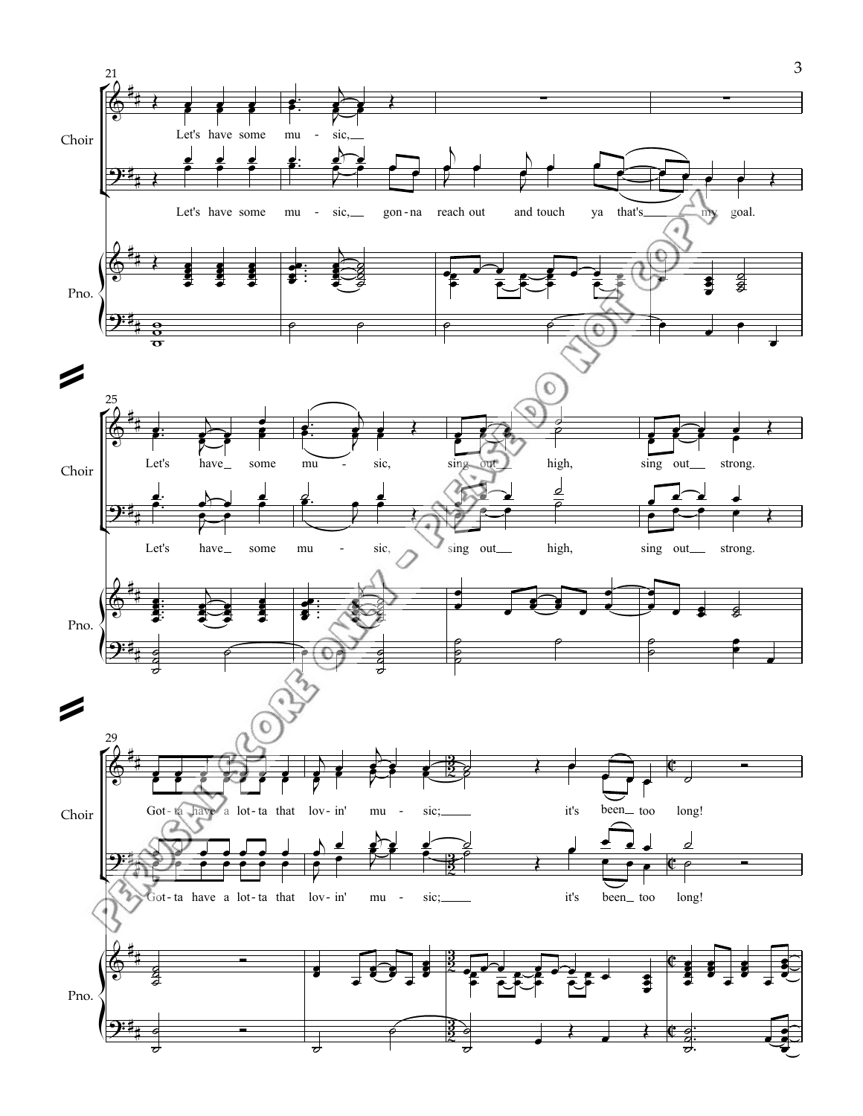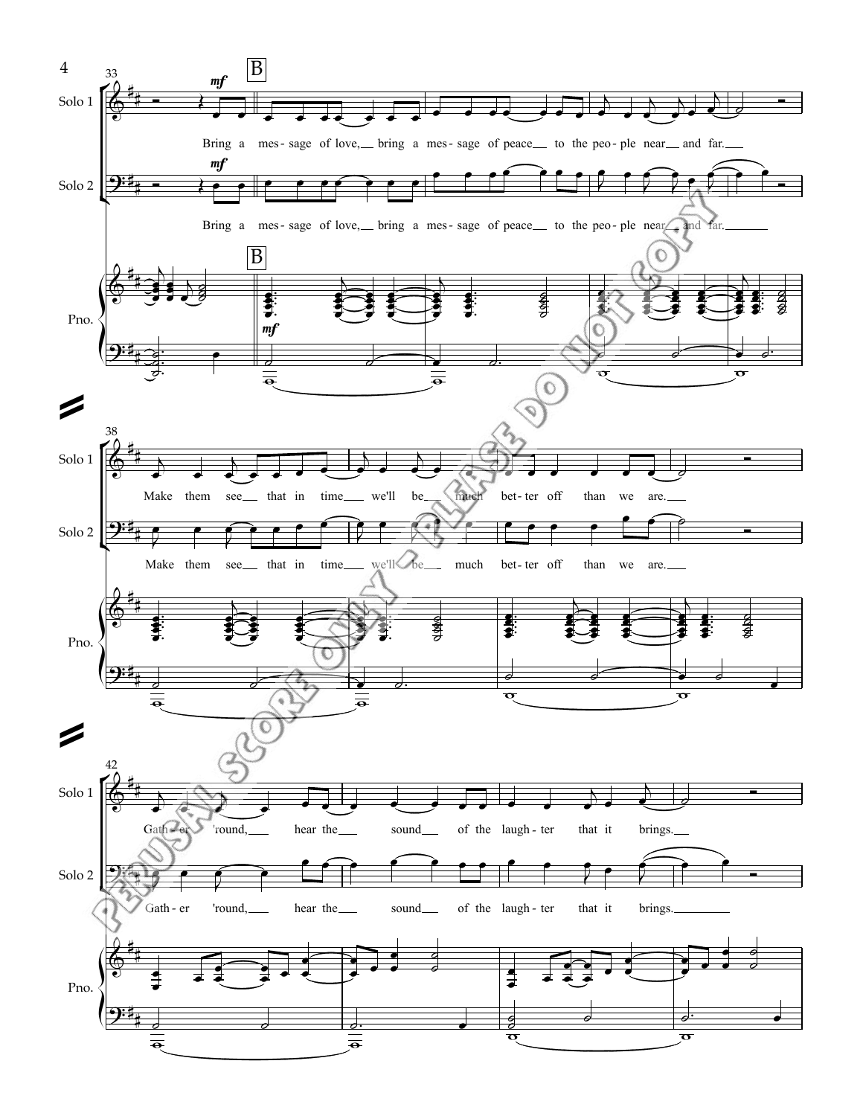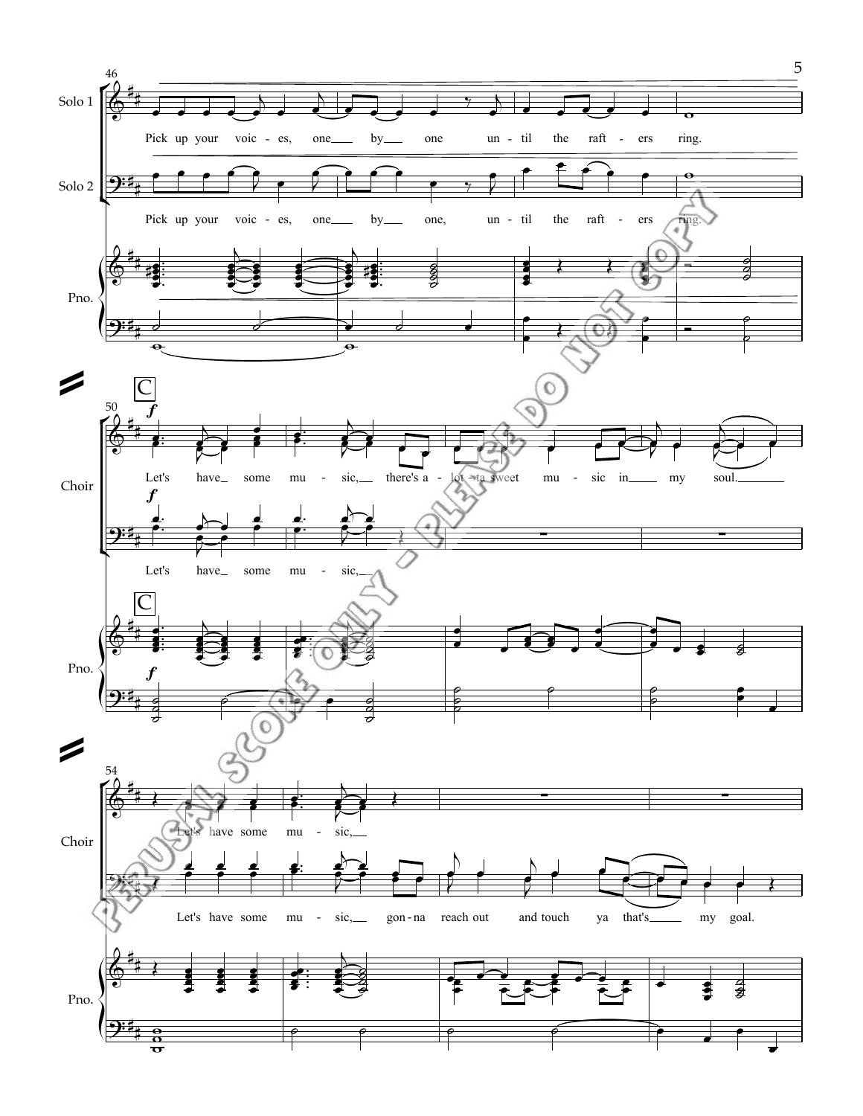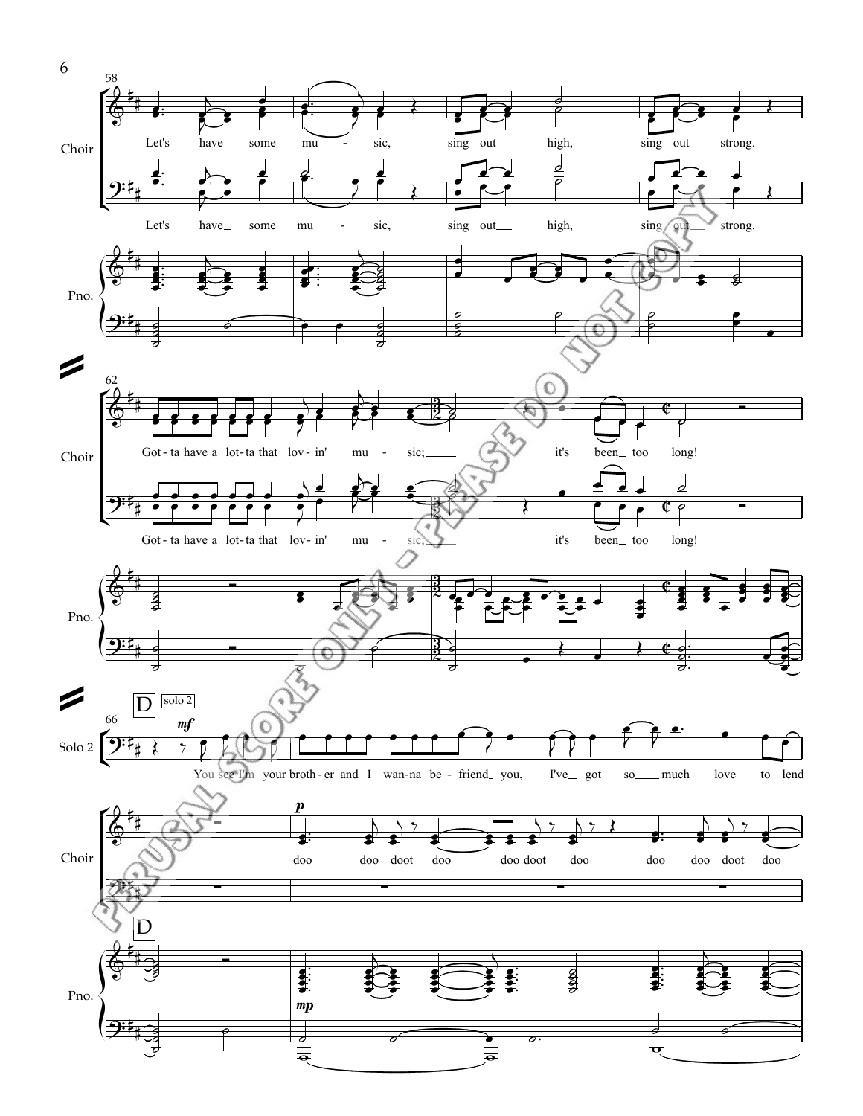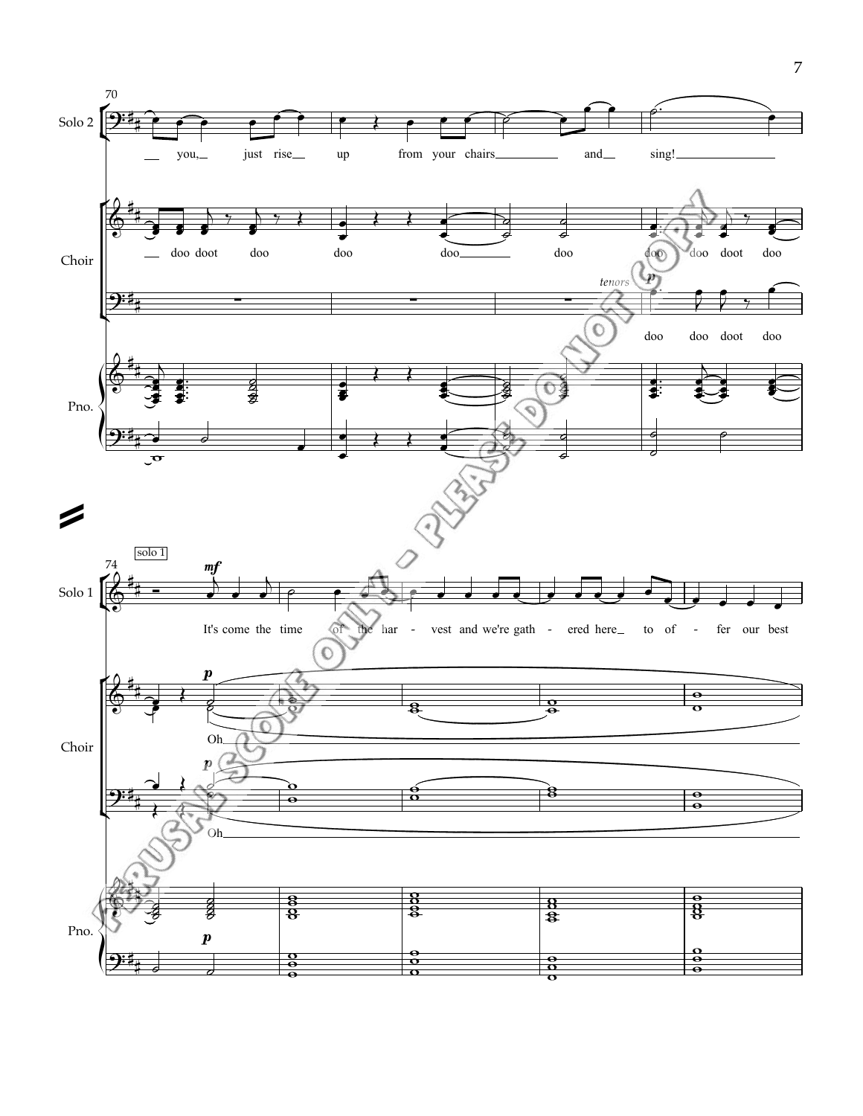

<sup>7</sup>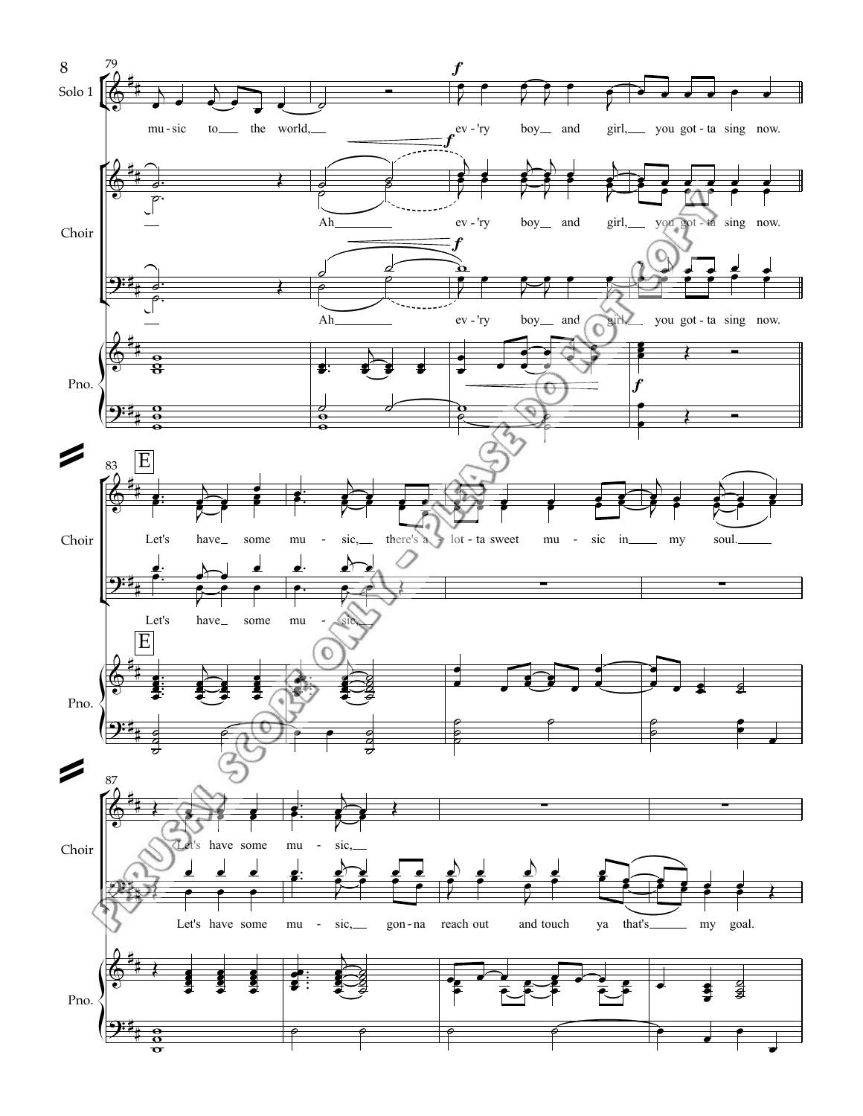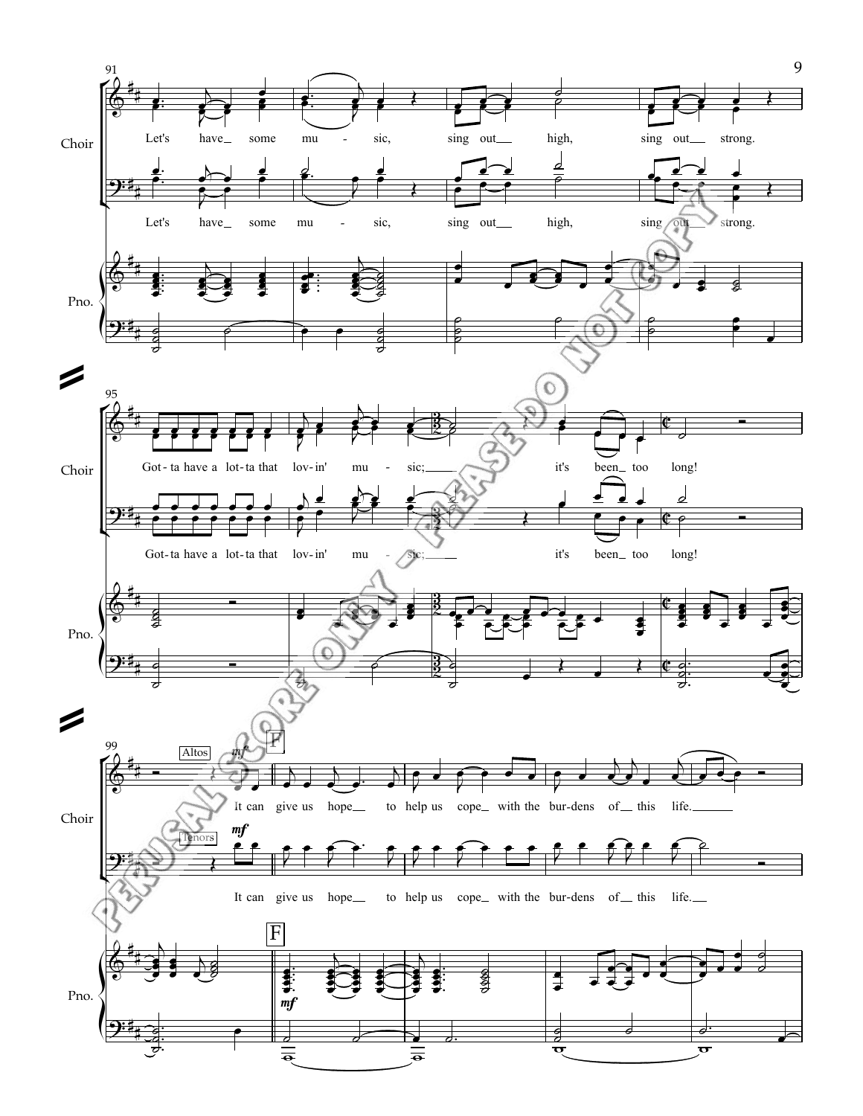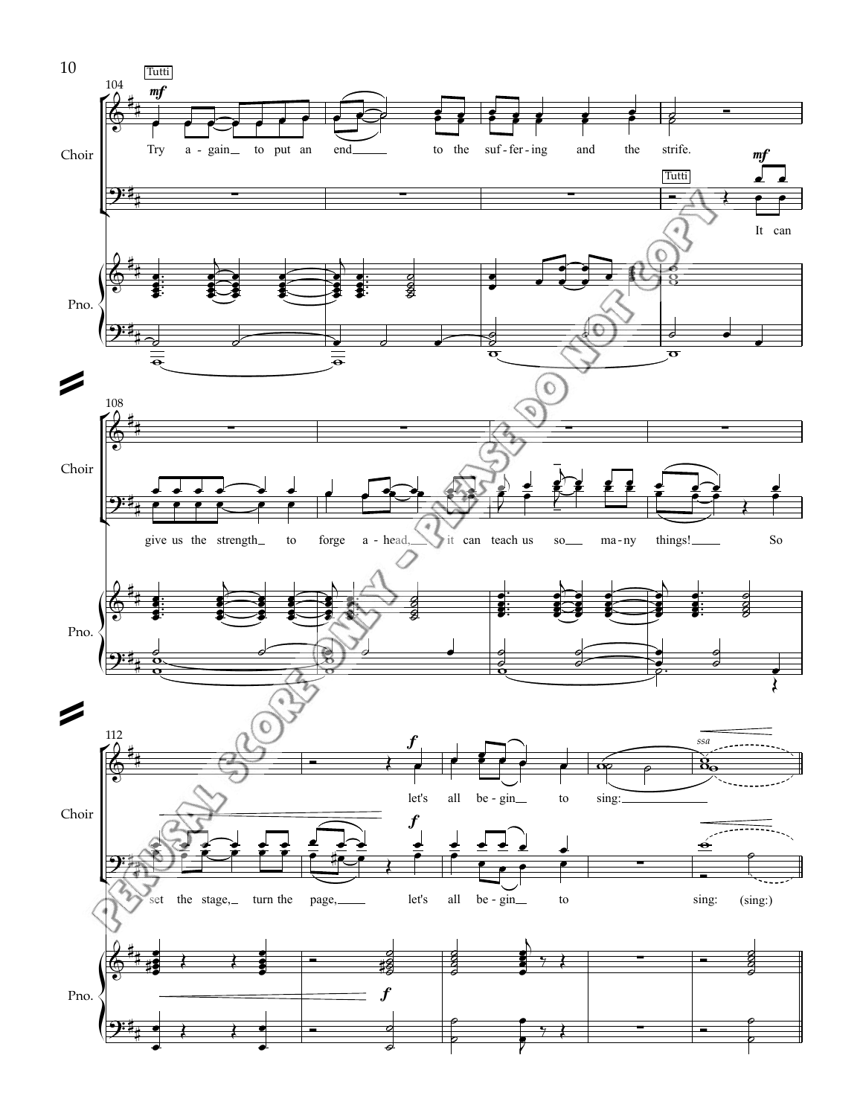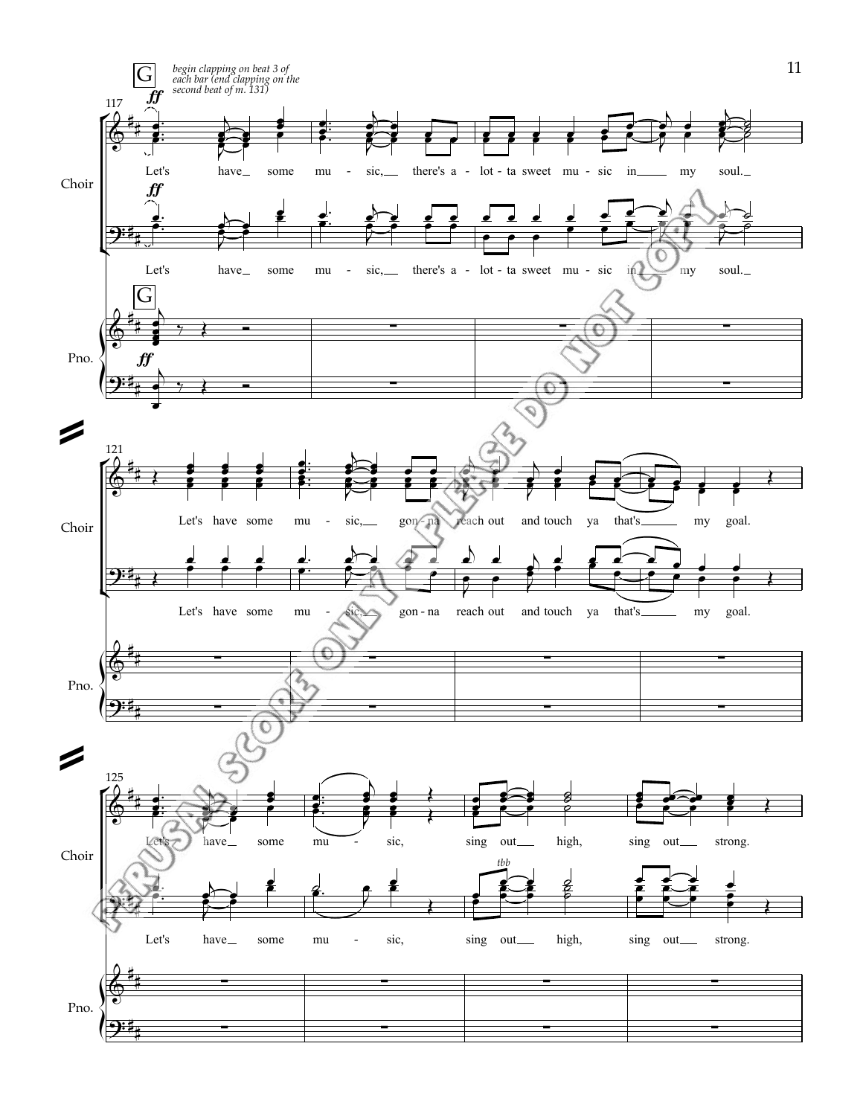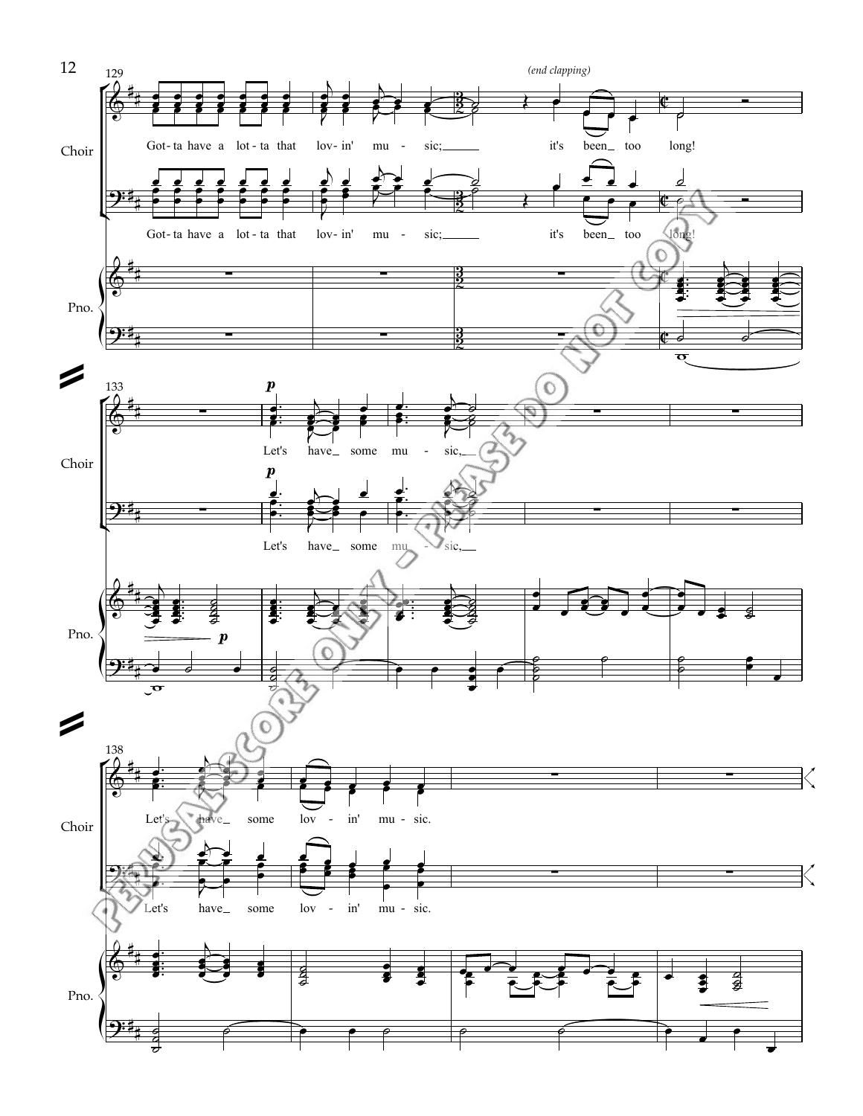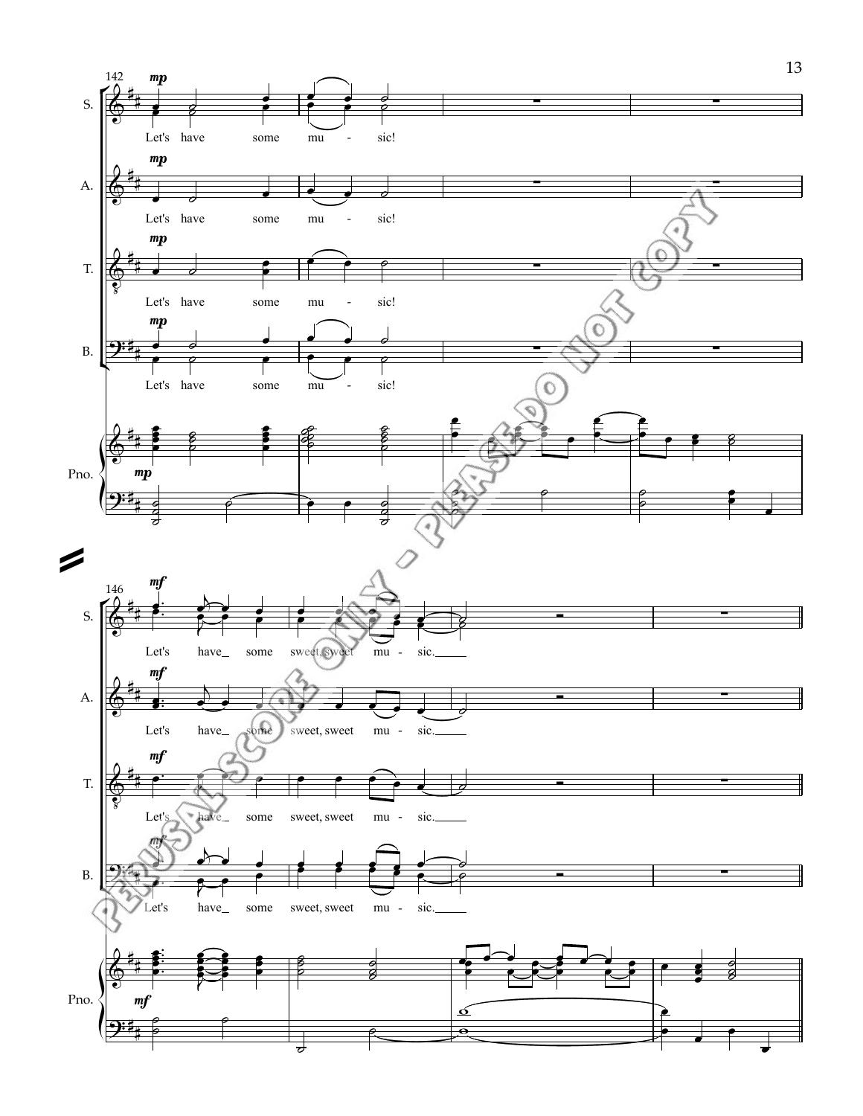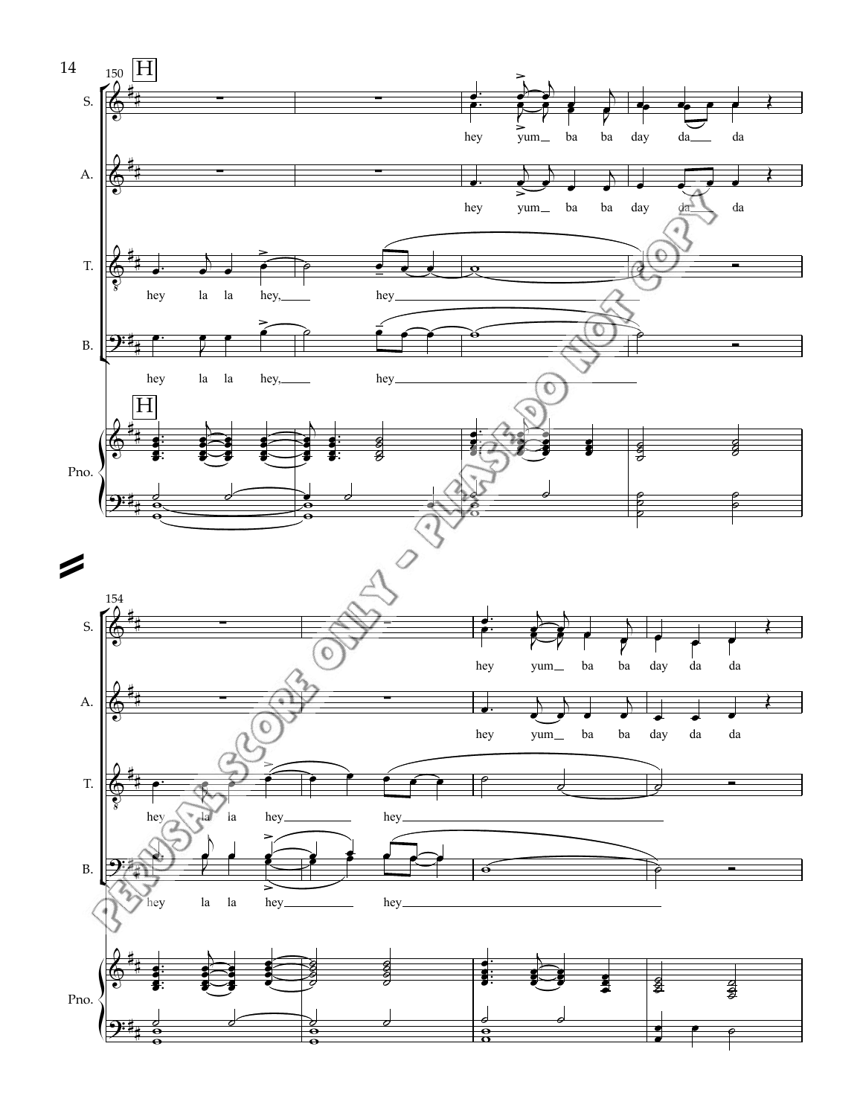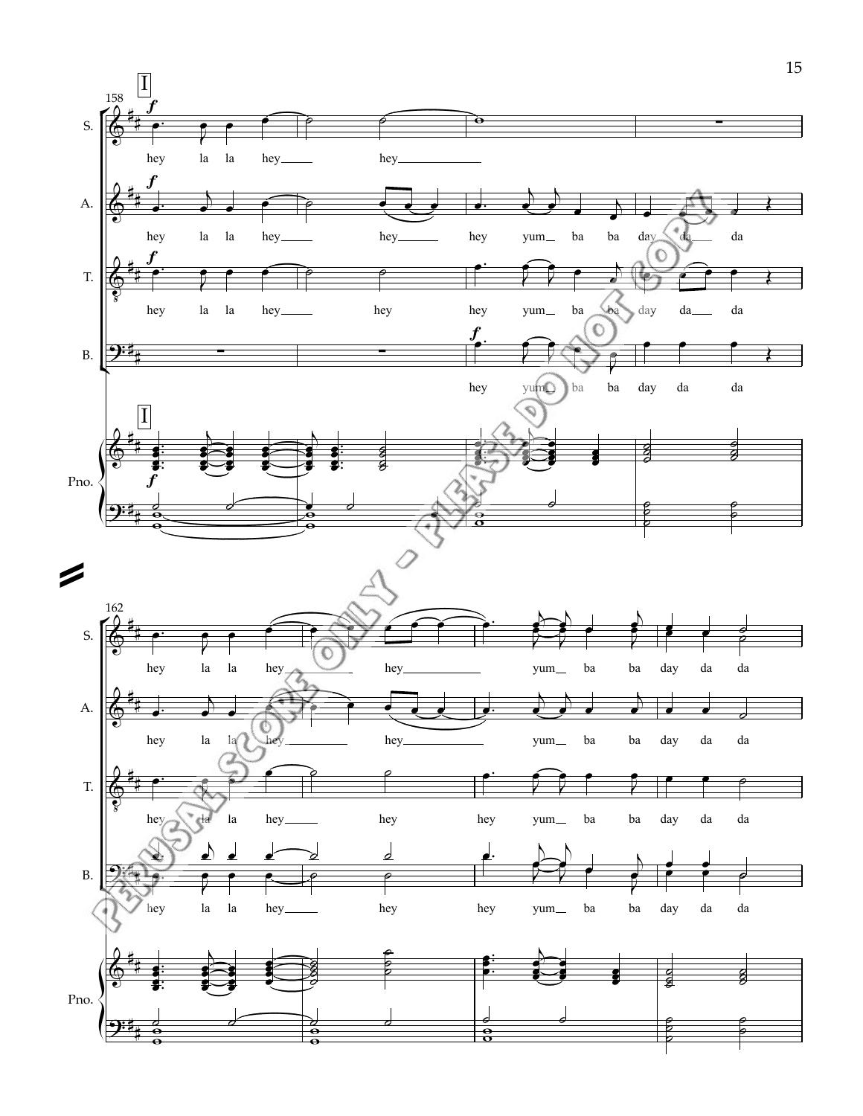